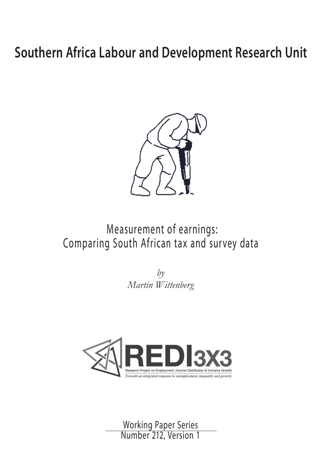# **Southern Africa Labour and Development Research Unit**



# Measurement of earnings: Comparing South African tax and survey data

*by Martin Wittenberg*



Working Paper Series Number 212, Version 1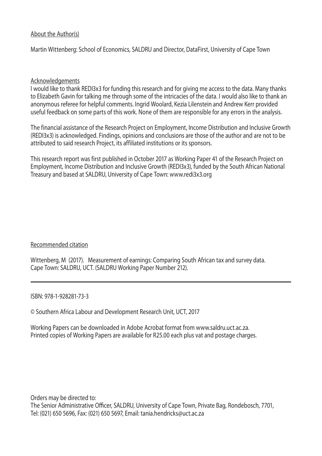# About the Author(s)

Martin Wittenberg: School of Economics, SALDRU and Director, DataFirst, University of Cape Town

# Acknowledgements

 I would like to thank REDI3x3 for funding this research and for giving me access to the data. Many thanks to Elizabeth Gavin for talking me through some of the intricacies of the data. I would also like to thank an anonymous referee for helpful comments. Ingrid Woolard, Kezia Lilenstein and Andrew Kerr provided useful feedback on some parts of this work. None of them are responsible for any errors in the analysis.

The financial assistance of the Research Project on Employment, Income Distribution and Inclusive Growth (REDI3x3) is acknowledged. Findings, opinions and conclusions are those of the author and are not to be attributed to said research Project, its affiliated institutions or its sponsors.

This research report was first published in October 2017 as Working Paper 41 of the Research Project on Employment, Income Distribution and Inclusive Growth (REDI3x3), funded by the South African National Treasury and based at SALDRU, University of Cape Town: www.redi3x3.org

# Recommended citation

Wittenberg, M (2017). Measurement of earnings: Comparing South African tax and survey data. Cape Town: SALDRU, UCT. (SALDRU Working Paper Number 212).

ISBN: 978-1-928281-73-3

© Southern Africa Labour and Development Research Unit, UCT, 2017

Working Papers can be downloaded in Adobe Acrobat format from www.saldru.uct.ac.za. Printed copies of Working Papers are available for R25.00 each plus vat and postage charges.

Orders may be directed to: The Senior Administrative Officer, SALDRU, University of Cape Town, Private Bag, Rondebosch, 7701, Tel: (021) 650 5696, Fax: (021) 650 5697, Email: tania.hendricks@uct.ac.za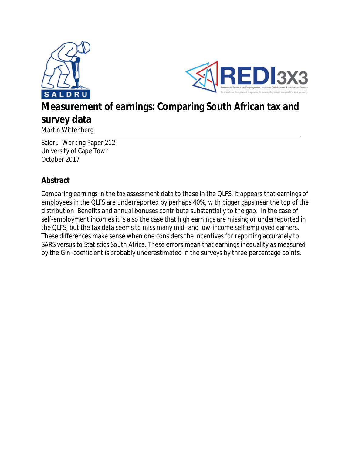



# **Measurement of earnings: Comparing South African tax and survey data**

Martin Wittenberg

Saldru Working Paper 212 University of Cape Town October 2017

# **Abstract**

Comparing earnings in the tax assessment data to those in the QLFS, it appears that earnings of employees in the QLFS are underreported by perhaps 40%, with bigger gaps near the top of the distribution. Benefits and annual bonuses contribute substantially to the gap. In the case of self-employment incomes it is also the case that high earnings are missing or underreported in the QLFS, but the tax data seems to miss many mid- and low-income self-employed earners. These differences make sense when one considers the incentives for reporting accurately to SARS versus to Statistics South Africa. These errors mean that earnings inequality as measured by the Gini coefficient is probably underestimated in the surveys by three percentage points.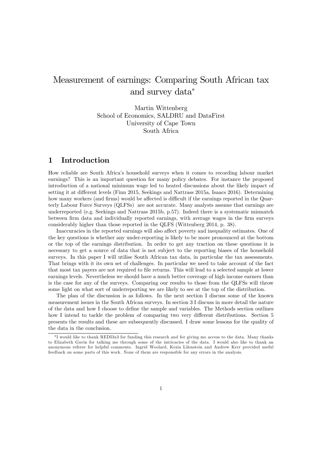# Measurement of earnings: Comparing South African tax and survey data

Martin Wittenberg School of Economics, SALDRU and DataFirst University of Cape Town South Africa

# 1 Introduction

How reliable are South Africaís household surveys when it comes to recording labour market earnings? This is an important question for many policy debates. For instance the proposed introduction of a national minimum wage led to heated discussions about the likely impact of setting it at different levels (Finn 2015, Seekings and Nattrass 2015a, Isaacs 2016). Determining how many workers (and firms) would be affected is difficult if the earnings reported in the Quarterly Labour Force Surveys (QLFSs) are not accurate. Many analysts assume that earnings are underreported (e.g. Seekings and Nattrass 2015b, p.57). Indeed there is a systematic mismatch between firm data and individually reported earnings, with average wages in the firm surveys considerably higher than those reported in the QLFS (Wittenberg 2014, p. 38).

Inaccuracies in the reported earnings will also affect poverty and inequality estimates. One of the key questions is whether any under-reporting is likely to be more pronounced at the bottom or the top of the earnings distribution. In order to get any traction on these questions it is necessary to get a source of data that is not subject to the reporting biases of the household surveys. In this paper I will utilise South African tax data, in particular the tax assessments. That brings with it its own set of challenges. In particular we need to take account of the fact that most tax payers are not required to file returns. This will lead to a selected sample at lower earnings levels. Nevertheless we should have a much better coverage of high income earners than is the case for any of the surveys. Comparing our results to those from the QLFSs will throw some light on what sort of underreporting we are likely to see at the top of the distribution.

The plan of the discussion is as follows. In the next section I discuss some of the known measurement issues in the South African surveys. In section 3 I discuss in more detail the nature of the data and how I choose to define the sample and variables. The Methods section outlines how I intend to tackle the problem of comparing two very different distributions. Section 5 presents the results and these are subsequently discussed. I draw some lessons for the quality of the data in the conclusion.

<sup>\*</sup>I would like to thank REDI3x3 for funding this research and for giving me access to the data. Many thanks to Elizabeth Gavin for talking me through some of the intricacies of the data. I would also like to thank an anonymous referee for helpful comments. Ingrid Woolard, Kezia Lilenstein and Andrew Kerr provided useful feedback on some parts of this work. None of them are responsible for any errors in the analysis.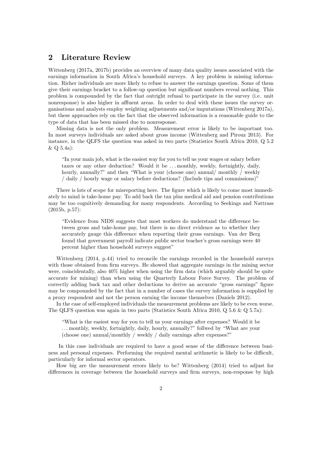## 2 Literature Review

Wittenberg (2017a, 2017b) provides an overview of many data quality issues associated with the earnings information in South Africa's household surveys. A key problem is missing information. Richer individuals are more likely to refuse to answer the earnings question. Some of them give their earnings bracket to a follow-up question but significant numbers reveal nothing. This problem is compounded by the fact that outright refusal to participate in the survey (i.e. unit nonresponse) is also higher in affluent areas. In order to deal with these issues the survey organisations and analysts employ weighting adjustments and/or imputations (Wittenberg 2017a), but these approaches rely on the fact that the observed information is a reasonable guide to the type of data that has been missed due to nonresponse.

Missing data is not the only problem. Measurement error is likely to be important too. In most surveys individuals are asked about gross income (Wittenberg and Pirouz 2013). For instance, in the QLFS the question was asked in two parts (Statistics South Africa 2010, Q 5.2 & Q 5.4a):

In your main job, what is the easiest way for you to tell us your wages or salary before taxes or any other deduction? Would it be ... monthly, weekly, fortnightly, daily, hourly, annually?" and then "What is your (choose one) annual/ monthly / weekly  $/$  daily  $/$  hourly wage or salary before deductions? (Include tips and commissions)"

There is lots of scope for misreporting here. The figure which is likely to come most immediately to mind is take-home pay. To add back the tax plus medical aid and pension contributions may be too cognitively demanding for many respondents. According to Seekings and Nattrass (2015b, p.57):

ìEvidence from NIDS suggests that most workers do understand the di§erence between gross and take-home pay, but there is no direct evidence as to whether they accurately gauge this difference when reporting their gross earnings. Van der Berg found that government payroll indicate public sector teacher's gross earnings were 40 percent higher than household surveys suggest"

Wittenberg (2014, p.44) tried to reconcile the earnings recorded in the household surveys with those obtained from firm surveys. He showed that aggregate earnings in the mining sector were, coincidentally, also 40% higher when using the firm data (which arguably should be quite accurate for mining) than when using the Quarterly Labour Force Survey. The problem of correctly adding back tax and other deductions to derive an accurate "gross earnings" figure may be compounded by the fact that in a number of cases the survey information is supplied by a proxy respondent and not the person earning the income themselves (Daniels 2012).

In the case of self-employed individuals the measurement problems are likely to be even worse. The QLFS question was again in two parts (Statistics South Africa 2010, Q 5.6 & Q 5.7a):

ìWhat is the easiest way for you to tell us your earnings after expenses? Would it be ... monthly, weekly, fortnightly, daily, hourly, annually?" follwed by "What are your (choose one) annual/monthly / weekly / daily earnings after expenses?"

In this case individuals are required to have a good sense of the difference between business and personal expenses. Performing the required mental arithmetic is likely to be difficult, particularly for informal sector operators.

How big are the measurement errors likely to be? Wittenberg (2014) tried to adjust for differences in coverage between the household surveys and firm surveys, non-response by high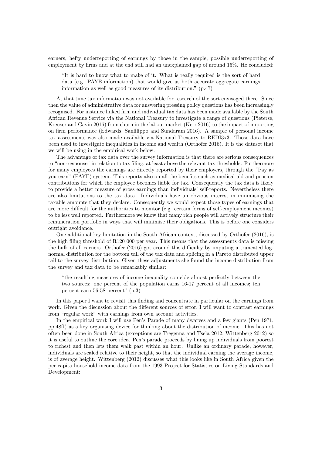earners, hefty underreporting of earnings by those in the sample, possible underreporting of employment by firms and at the end still had an unexplained gap of around 15%. He concluded:

It is hard to know what to make of it. What is really required is the sort of hard data (e.g. PAYE information) that would give us both accurate aggregate earnings information as well as good measures of its distribution."  $(p.47)$ 

At that time tax information was not available for research of the sort envisaged there. Since then the value of administrative data for answering pressing policy questions has been increasingly recognised. For instance linked firm and individual tax data has been made available by the South African Revenue Service via the National Treasury to investigate a range of questions (Pieterse, Kreuser and Gavin 2016) from churn in the labour market (Kerr 2016) to the impact of importing on firm performance (Edwards, Sanfilippo and Sundaram 2016). A sample of personal income tax assessments was also made available via National Treasury to REDI3x3. Those data have been used to investigate inequalities in income and wealth (Orthofer 2016). It is the dataset that we will be using in the empirical work below.

The advantage of tax data over the survey information is that there are serious consequences to "non-response" in relation to tax filing, at least above the relevant tax thresholds. Furthermore for many employees the earnings are directly reported by their employers, through the "Pay as you earn" (PAYE) system. This reports also on all the benefits such as medical aid and pension contributions for which the employee becomes liable for tax. Consequently the tax data is likely to provide a better measure of gross earnings than individuals' self-reports. Nevertheless there are also limitations to the tax data. Individuals have an obvious interest in minimising the taxable amounts that they declare. Consequently we would expect those types of earnings that are more difficult for the authorities to monitor (e.g. certain forms of self-employment incomes) to be less well reported. Furthermore we know that many rich people will actively structure their remuneration portfolio in ways that will minimise their obligations. This is before one considers outright avoidance.

One additional key limitation in the South African context, discussed by Orthofer (2016), is the high filing threshold of R120 000 per year. This means that the assessments data is missing the bulk of all earners. Orthofer  $(2016)$  got around this difficulty by imputing a truncated lognormal distribution for the bottom tail of the tax data and splicing in a Pareto distributed upper tail to the survey distribution. Given these adjustments she found the income distribution from the survey and tax data to be remarkably similar:

ìthe resulting measures of income inequality coincide almost perfectly between the two sources: one percent of the population earns 16-17 percent of all incomes; ten percent earn  $56-58$  percent"  $(p.3)$ 

In this paper I want to revisit this finding and concentrate in particular on the earnings from work. Given the discussion about the different sources of error, I will want to contrast earnings from "regular work" with earnings from own account activities.

In the empirical work I will use Pen's Parade of many dwarves and a few giants (Pen 1971, pp.48§) as a key organising device for thinking about the distribution of income. This has not often been done in South Africa (exceptions are Tregenna and Tsela 2012, Wittenberg 2012) so it is useful to outline the core idea. Penís parade proceeds by lining up individuals from poorest to richest and then lets them walk past within an hour. Unlike an ordinary parade, however, individuals are scaled relative to their height, so that the individual earning the average income, is of average height. Wittenberg (2012) discusses what this looks like in South Africa given the per capita household income data from the 1993 Project for Statistics on Living Standards and Development: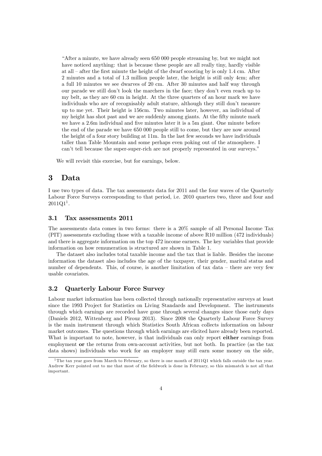ìAfter a minute, we have already seen 650 000 people streaming by, but we might not have noticed anything: that is because these people are all really tiny, hardly visible at all  $-$  after the first minute the height of the dwarf scooting by is only 1.4 cm. After 2 minutes and a total of 1.3 million people later, the height is still only 4cm; after a full 10 minutes we see dwarves of 20 cm. After 30 minutes and half way through our parade we still don't look the marchers in the face; they don't even reach up to my belt, as they are 60 cm in height. At the three quarters of an hour mark we have individuals who are of recognisably adult stature, although they still don't measure up to me yet. Their height is 156cm. Two minutes later, however, an individual of my height has shot past and we are suddenly among giants. At the fifty minute mark we have a 2.6m individual and five minutes later it is a 5m giant. One minute before the end of the parade we have 650 000 people still to come, but they are now around the height of a four story building at 11m. In the last few seconds we have individuals taller than Table Mountain and some perhaps even poking out of the atmosphere. I can't tell because the super-super-rich are not properly represented in our surveys.<sup>"</sup>

We will revisit this exercise, but for earnings, below.

## 3 Data

I use two types of data. The tax assessments data for 2011 and the four waves of the Quarterly Labour Force Surveys corresponding to that period, i.e. 2010 quarters two, three and four and  $2011Q1^1$ .

#### 3.1 Tax assessments 2011

The assessments data comes in two forms: there is a 20% sample of all Personal Income Tax (PIT) assessments excluding those with a taxable income of above R10 million (472 individuals) and there is aggregate information on the top 472 income earners. The key variables that provide information on how remuneration is structured are shown in Table 1.

The dataset also includes total taxable income and the tax that is liable. Besides the income information the dataset also includes the age of the taxpayer, their gender, marital status and number of dependents. This, of course, is another limitation of tax data  $-$  there are very few usable covariates.

#### 3.2 Quarterly Labour Force Survey

Labour market information has been collected through nationally representative surveys at least since the 1993 Project for Statistics on Living Standards and Development. The instruments through which earnings are recorded have gone through several changes since those early days (Daniels 2012, Wittenberg and Pirouz 2013). Since 2008 the Quarterly Labour Force Survey is the main instrument through which Statistics South African collects information on labour market outcomes. The questions through which earnings are elicited have already been reported. What is important to note, however, is that individuals can only report either earnings from employment or the returns from own-account activities, but not both. In practice (as the tax data shows) individuals who work for an employer may still earn some money on the side,

<sup>&</sup>lt;sup>1</sup>The tax year goes from March to February, so there is one month of 2011Q1 which falls outside the tax year. Andrew Kerr pointed out to me that most of the Öeldwork is done in February, so this mismatch is not all that important.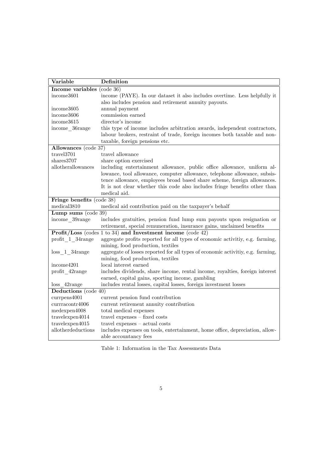| Variable                   | Definition                                                                      |  |  |  |  |
|----------------------------|---------------------------------------------------------------------------------|--|--|--|--|
| Income variables (code 36) |                                                                                 |  |  |  |  |
| income3601                 | income (PAYE). In our dataset it also includes overtime. Less helpfully it      |  |  |  |  |
|                            | also includes pension and retirement annuity payouts.                           |  |  |  |  |
| income3605                 | annual payment                                                                  |  |  |  |  |
| income3606                 | commission earned                                                               |  |  |  |  |
| income3615                 | director's income                                                               |  |  |  |  |
| income 36range             | this type of income includes arbitration awards, independent contractors,       |  |  |  |  |
|                            | labour brokers, restraint of trade, foreign incomes both taxable and non-       |  |  |  |  |
|                            | taxable, foreign pensions etc.                                                  |  |  |  |  |
| Allowances (code 37)       |                                                                                 |  |  |  |  |
| travel3701                 | travel allowance                                                                |  |  |  |  |
| shares3707                 | share option exercised                                                          |  |  |  |  |
| allotherallowances         | including entertainment allowance, public office allowance, uniform al-         |  |  |  |  |
|                            | lowance, tool allowance, computer allowance, telephone allowance, subsis-       |  |  |  |  |
|                            | tence allowance, employees broad based share scheme, foreign allowances.        |  |  |  |  |
|                            | It is not clear whether this code also includes fringe benefits other than      |  |  |  |  |
|                            | medical aid.                                                                    |  |  |  |  |
| Fringe benefits (code 38)  |                                                                                 |  |  |  |  |
| $medica$ $13810$           | medical aid contribution paid on the taxpayer's behalf                          |  |  |  |  |
| Lump sums $(code 39)$      |                                                                                 |  |  |  |  |
| income 39range             | includes gratuities, pension fund lump sum payouts upon resignation or          |  |  |  |  |
|                            | retirement, special remuneration, insurance gains, unclaimed benefits           |  |  |  |  |
|                            | <b>Profit/Loss</b> (codes 1 to 34) and <b>Investment</b> income (code 42)       |  |  |  |  |
| profit 1 34range           | aggregate profits reported for all types of economic activitiy, e.g. farming,   |  |  |  |  |
|                            | mining, food production, textiles                                               |  |  |  |  |
| $loss$ 1 34 $range$        | aggregate of losses reported for all types of economic activitiy, e.g. farming, |  |  |  |  |
|                            | mining, food production, textiles                                               |  |  |  |  |
| income4201                 | local interest earned                                                           |  |  |  |  |
| profit 42range             | includes dividends, share income, rental income, royalties, foreign interest    |  |  |  |  |
|                            | earned, capital gains, sporting income, gambling                                |  |  |  |  |
| $loss$ 42 $range$          | includes rental losses, capital losses, foreign investment losses               |  |  |  |  |
| Deductions (code 40)       |                                                                                 |  |  |  |  |
| currpens4001               | current pension fund contribution                                               |  |  |  |  |
| currracontr4006            | current retirement annuity contribution                                         |  |  |  |  |
| medexpen4008               | total medical expenses                                                          |  |  |  |  |
| travelexpen4014            | travel expenses $-$ fixed costs                                                 |  |  |  |  |
| travelexpen4015            | $travel$ expenses $-$ actual costs                                              |  |  |  |  |
| allotherdeductions         | includes expenses on tools, entertainment, home office, depreciation, allow-    |  |  |  |  |
|                            | able accountancy fees                                                           |  |  |  |  |

Table 1: Information in the Tax Assessments Data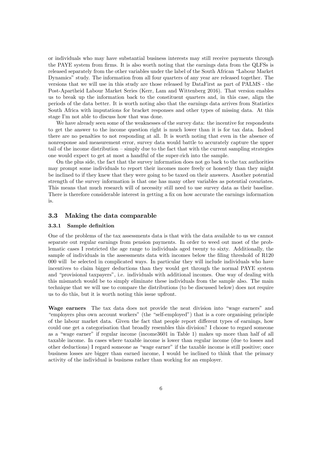or individuals who may have substantial business interests may still receive payments through the PAYE system from firms. It is also worth noting that the earnings data from the QLFSs is released separately from the other variables under the label of the South African "Labour Market" Dynamics" study. The information from all four quarters of any year are released together. The versions that we will use in this study are those released by DataFirst as part of PALMS - the Post-Apartheid Labour Market Series (Kerr, Lam and Wittenberg 2016). That version enables us to break up the information back to the constituent quarters and, in this case, align the periods of the data better. It is worth noting also that the earnings data arrives from Statistics South Africa with imputations for bracket responses and other types of missing data. At this stage I'm not able to discuss how that was done.

We have already seen some of the weaknesses of the survey data: the incentive for respondents to get the answer to the income question right is much lower than it is for tax data. Indeed there are no penalties to not responding at all. It is worth noting that even in the absence of nonresponse and measurement error, survey data would battle to accurately capture the upper tail of the income distribution  $-\sin p y$  due to the fact that with the current sampling strategies one would expect to get at most a handful of the super-rich into the sample.

On the plus side, the fact that the survey information does not go back to the tax authorities may prompt some individuals to report their incomes more freely or honestly than they might be inclined to if they knew that they were going to be taxed on their answers. Another potential strength of the survey information is that one has many other variables as potential covariates. This means that much research will of necessity still need to use survey data as their baseline. There is therefore considerable interest in getting a fix on how accurate the earnings information is.

#### 3.3 Making the data comparable

#### 3.3.1 Sample definition

One of the problems of the tax assessments data is that with the data available to us we cannot separate out regular earnings from pension payments. In order to weed out most of the problematic cases I restricted the age range to individuals aged twenty to sixty. Additionally, the sample of individuals in the assessments data with incomes below the filing threshold of  $R120$ 000 will be selected in complicated ways. In particular they will include individuals who have incentives to claim bigger deductions than they would get through the normal PAYE system and "provisional taxpayers", i.e. individuals with additional incomes. One way of dealing with this mismatch would be to simply eliminate these individuals from the sample also. The main technique that we will use to compare the distributions (to be discussed below) does not require us to do this, but it is worth noting this issue upfront.

Wage earners The tax data does not provide the neat division into "wage earners" and "employers plus own account workers" (the "self-employed") that is a core organising principle of the labour market data. Given the fact that people report different types of earnings, how could one get a categorisation that broadly resembles this division? I choose to regard someone as a "wage earner" if regular income (income3601 in Table 1) makes up more than half of all taxable income. In cases where taxable income is lower than regular income (due to losses and other deductions) I regard someone as "wage earner" if the taxable income is still positive; once business losses are bigger than earned income, I would be inclined to think that the primary activity of the individual is business rather than working for an employer.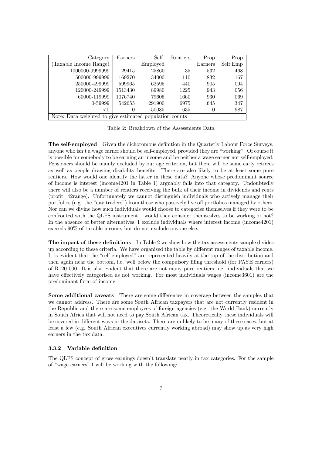| Category                                                | Earners  | Self-    | Rentiers | Prop     | Prop     |  |  |
|---------------------------------------------------------|----------|----------|----------|----------|----------|--|--|
| (Taxable Income Range)                                  |          | Employed |          | Earners  | Self Emp |  |  |
| 1000000-9999999                                         | 29415    | 25860    | 35       | .532     | .468     |  |  |
| 500000-999999                                           | 169270   | 34000    | 110      | .832     | .167     |  |  |
| 250000-499999                                           | 599965   | 62595    | 440      | .905     | .094     |  |  |
| 120000-249999                                           | 1513430  | 89980    | 1225     | .943     | .056     |  |  |
| 60000-119999                                            | 1076740  | 79605    | 1660     | .930     | .069     |  |  |
| 0-59999                                                 | 542655   | 291900   | 6975     | .645     | .347     |  |  |
| < 0                                                     | $\theta$ | 50085    | 635      | $\theta$ | .987     |  |  |
| Note: Data weighted to give estimated population counts |          |          |          |          |          |  |  |

Table 2: Breakdown of the Assessments Data

The self-employed Given the dichotomous definition in the Quarterly Labour Force Surveys, anyone who isn't a wage earner should be self-employed, provided they are "working". Of course it is possible for somebody to be earning an income and be neither a wage earner nor self-employed. Pensioners should be mainly excluded by our age criterion, but there will be some early retirees as well as people drawing disability benefits. There are also likely to be at least some pure rentiers. How would one identify the latter in these data? Anyone whose predominant source of income is interest (income4201 in Table 1) arguably falls into that category. Undoubtedly there will also be a number of rentiers receiving the bulk of their income in dividends and rents (profit 42range). Unfortunately we cannot distinguish individuals who actively manage their portfolios (e.g. the "day traders") from those who passively live off portfolios managed by others. Nor can we divine how such individuals would choose to categorise themselves if they were to be confronted with the QLFS instrument  $-$  would they consider themseslves to be working or not? In the absence of better alternatives, I exclude individuals where interest income (income4201) exceeds 90% of taxable income, but do not exclude anyone else.

The impact of these definitions In Table 2 we show how the tax assessments sample divides up according to these criteria. We have organised the table by different ranges of taxable income. It is evident that the "self-employed" are represented heavily at the top of the distribution and then again near the bottom, i.e. well below the compulsory filing threshold (for PAYE earners) of R120 000. It is also evident that there are not many pure rentiers, i.e. individuals that we have effectively categorised as not working. For most individuals wages (income3601) are the predominant form of income.

Some additional caveats There are some differences in coverage between the samples that we cannot address. There are some South African taxpayers that are not currently resident in the Republic and there are some employees of foreign agencies (e.g. the World Bank) currently in South Africa that will not need to pay South African tax. Theoretically these individuals will be covered in different ways in the datasets. There are unlikely to be many of these cases, but at least a few (e.g. South African executives currently working abroad) may show up as very high earners in the tax data.

#### 3.3.2 Variable deÖnition

The QLFS concept of gross earnings doesnít translate neatly in tax categories. For the sample of "wage earners" I will be working with the following: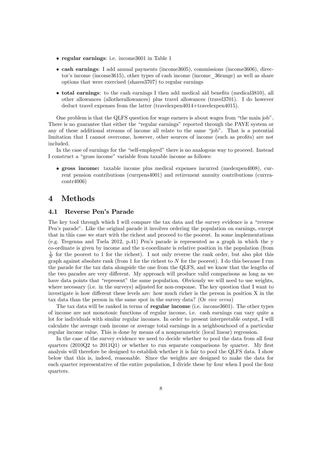- regular earnings: i.e. income3601 in Table 1
- cash earnings: I add annual payments (income3605), commissions (income3606), director's income (income3615), other types of cash income (income 36range) as well as share options that were exercised (shares3707) to regular earnings
- $\bullet$  total earnings: to the cash earnings I then add medical aid benefits (medical $3810$ ), all other allowances (allotherallowances) plus travel allowances (travel3701). I do however deduct travel expenses from the latter (travelexpen4014+travelexpen4015).

One problem is that the QLFS question for wage earners is about wages from "the main job". There is no guarantee that either the "regular earnings" reported through the PAYE system or any of these additional streams of income all relate to the same "job". That is a potential limitation that I cannot overcome, however, other sources of income (such as profits) are not included.

In the case of earnings for the "self-employed" there is no analogous way to proceed. Instead I construct a "gross income" variable from taxable income as follows:

 gross income: taxable income plus medical expenses incurred (medexpen4008), current pension contributions (currpens4001) and retirement annuity contributions (currracontr4006)

# 4 Methods

#### 4.1 Reverse Pen's Parade

The key tool through which I will compare the tax data and the survey evidence is a  $\alpha$   $\alpha$   $\alpha$ Pen's parade". Like the original parade it involves ordering the population on earnings, except that in this case we start with the richest and proceed to the poorest. In some implementations (e.g. Tregenna and Tsela 2012, p.41) Penís parade is represented as a graph in which the y co-ordinate is given by income and the x-coordinate is relative position in the population (from  $\frac{1}{N}$  for the poorest to 1 for the richest). I not only reverse the rank order, but also plot this graph against absolute rank (from 1 for the richest to  $N$  for the poorest). I do this because I run the parade for the tax data alongside the one from the QLFS, and we know that the lengths of the two parades are very different. My approach will produce valid comparisons as long as we have data points that "represent" the same population. Obviously we will need to use weights, where necessary (i.e. in the surveys) adjusted for non-response. The key question that I want to investigate is how different these levels are: how much richer is the person in position  $X$  in the tax data than the person in the same spot in the survey data? (Or vice versa)

The tax data will be ranked in terms of **regular income** (i.e. income 3601). The other types of income are not monotonic functions of regular income, i.e. cash earnings can vary quite a lot for individuals with similar regular incomes. In order to present interpretable output, I will calculate the average cash income or average total earnings in a neighbourhood of a particular regular income value. This is done by means of a nonparametric (local linear) regression.

In the case of the survey evidence we need to decide whether to pool the data from all four quarters (2010Q2 to 2011Q1) or whether to run separate comparisons by quarter. My first analysis will therefore be designed to establish whether it is fair to pool the QLFS data. I show below that this is, indeed, reasonable. Since the weights are designed to make the data for each quarter representative of the entire population, I divide these by four when I pool the four quarters.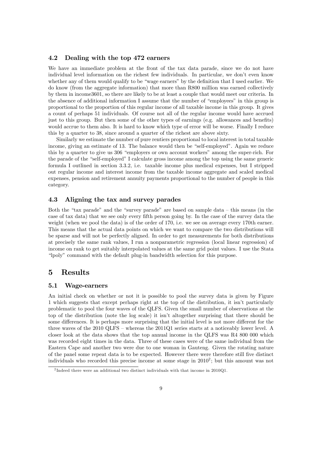#### 4.2 Dealing with the top 472 earners

We have an immediate problem at the front of the tax data parade, since we do not have individual level information on the richest few individuals. In particular, we don't even know whether any of them would qualify to be "wage earners" by the definition that I used earlier. We do know (from the aggregate information) that more than R800 million was earned collectively by them in income3601, so there are likely to be at least a couple that would meet our criteria. In the absence of additional information I assume that the number of "employees" in this group is proportional to the proportion of this regular income of all taxable income in this group. It gives a count of perhaps 51 individuals. Of course not all of the regular income would have accrued just to this group. But then some of the other types of earnings  $(e.g.$  allowances and benefits) would accrue to them also. It is hard to know which type of error will be worse. Finally I reduce this by a quarter to 38, since around a quarter of the richest are above sixty.

Similarly we estimate the number of pure rentiers proportional to local interest in total taxable income, giving an estimate of 13. The balance would then be "self-employed". Again we reduce this by a quarter to give us 306 "employers or own account workers" among the super-rich. For the parade of the "self-employed" I calculate gross income among the top using the same generic formula I outlined in section 3.3.2, i.e. taxable income plus medical expenses, but I stripped out regular income and interest income from the taxable income aggregate and scaled medical expenses, pension and retirement annuity payments proportional to the number of people in this category.

#### 4.3 Aligning the tax and survey parades

Both the "tax parade" and the "survey parade" are based on sample data  $-$  this means (in the case of tax data) that we see only every fifth person going by. In the case of the survey data the weight (when we pool the data) is of the order of 170, i.e. we see on average every 170th earner. This means that the actual data points on which we want to compare the two distributions will be sparse and will not be perfectly aligned. In order to get measurements for both distributions at precisely the same rank values, I run a nonparametric regression (local linear regression) of income on rank to get suitably interpolated values at the same grid point values. I use the Stata ìlpolyî command with the default plug-in bandwidth selection for this purpose.

### 5 Results

#### 5.1 Wage-earners

An initial check on whether or not it is possible to pool the survey data is given by Figure 1 which suggests that except perhaps right at the top of the distribution, it isnít particularly problematic to pool the four waves of the QLFS. Given the small number of observations at the top of the distribution (note the log scale) it isnít altogether surprising that there should be some differences. It is perhaps more surprising that the initial level is not more different for the three waves of the  $2010 \text{ QLFS}$  – whereas the  $2011 \text{Q1}$  series starts at a noticeably lower level. A closer look at the data shows that the top annual income in the QLFS was R4 800 000 which was recorded eight times in the data. Three of these cases were of the same individual from the Eastern Cape and another two were due to one woman in Gauteng. Given the rotating nature of the panel some repeat data is to be expected. However there were therefore still Öve distinct individuals who recorded this precise income at some stage in  $2010^2$ ; but this amount was not

<sup>&</sup>lt;sup>2</sup>Indeed there were an additional two distinct individuals with that income in 2010Q1.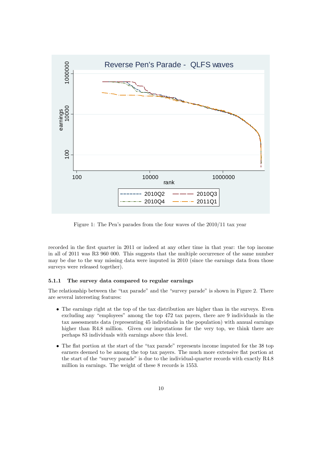

Figure 1: The Pen's parades from the four waves of the  $2010/11$  tax year

recorded in the first quarter in 2011 or indeed at any other time in that year: the top income in all of 2011 was R3 960 000. This suggests that the multiple occurrence of the same number may be due to the way missing data were imputed in 2010 (since the earnings data from those surveys were released together).

#### 5.1.1 The survey data compared to regular earnings

The relationship between the "tax parade" and the "survey parade" is shown in Figure 2. There are several interesting features:

- The earnings right at the top of the tax distribution are higher than in the surveys. Even excluding any "employees" among the top 472 tax payers, there are 9 individuals in the tax assessments data (representing 45 individuals in the population) with annual earnings higher than R4.8 million. Given our imputations for the very top, we think there are perhaps 83 individuals with earnings above this level.
- $\bullet$  The flat portion at the start of the "tax parade" represents income imputed for the 38 top earners deemed to be among the top tax payers. The much more extensive áat portion at the start of the "survey parade" is due to the individual-quarter records with exactly  $R4.8$ million in earnings. The weight of these 8 records is 1553.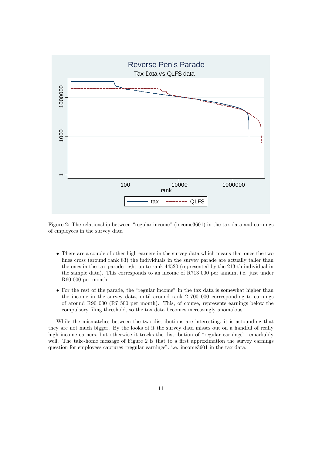

Figure 2: The relationship between "regular income" (income  $3601$ ) in the tax data and earnings of employees in the survey data

- There are a couple of other high earners in the survey data which means that once the two lines cross (around rank 83) the individuals in the survey parade are actually taller than the ones in the tax parade right up to rank 44520 (represented by the 213-th individual in the sample data). This corresponds to an income of R713 000 per annum, i.e. just under R60 000 per month.
- $\bullet$  For the rest of the parade, the "regular income" in the tax data is somewhat higher than the income in the survey data, until around rank 2 700 000 corresponding to earnings of around R90 000 (R7 500 per month). This, of course, represents earnings below the compulsory Öling threshold, so the tax data becomes increasingly anomalous.

While the mismatches between the two distributions are interesting, it is astounding that they are not much bigger. By the looks of it the survey data misses out on a handful of really high income earners, but otherwise it tracks the distribution of "regular earnings" remarkably well. The take-home message of Figure  $2$  is that to a first approximation the survey earnings question for employees captures "regular earnings", i.e. income3601 in the tax data.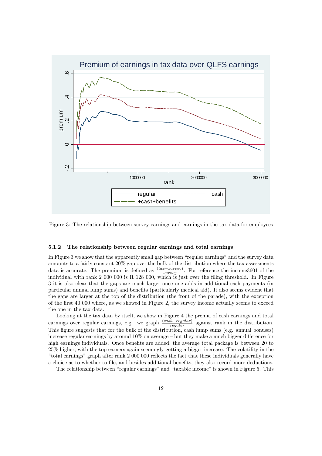

Figure 3: The relationship between survey earnings and earnings in the tax data for employees

#### 5.1.2 The relationship between regular earnings and total earnings

In Figure 3 we show that the apparently small gap between "regular earnings" and the survey data amounts to a fairly constant 20% gap over the bulk of the distribution where the tax assessments data is accurate. The premium is defined as  $\frac{(tax-survey)}{surnew}$ . For reference the income 3601 of the survey individual with rank 2 000 000 is R 128 000, which is just over the filing threshold. In Figure 3 it is also clear that the gaps are much larger once one adds in additional cash payments (in particular annual lump sums) and benefits (particularly medical aid). It also seems evident that the gaps are larger at the top of the distribution (the front of the parade), with the exception of the Örst 40 000 where, as we showed in Figure 2, the survey income actually seems to exceed the one in the tax data.

Looking at the tax data by itself, we show in Figure 4 the premia of cash earnings and total earnings over regular earnings, e.g. we graph  $\frac{(cash-regular)}{regular}$  against rank in the distribution. This figure suggests that for the bulk of the distribution, cash lump sums (e.g. annual bonuses) increase regular earnings by around  $10\%$  on average  $-$  but they make a much bigger difference for high earnings individuals. Once benefits are added, the average total package is between 20 to 25% higher, with the top earners again seemingly getting a bigger increase. The volatility in the "total earnings" graph after rank 2 000 000 reflects the fact that these individuals generally have a choice as to whether to file, and besides additional benefits, they also record more deductions.

The relationship between "regular earnings" and "taxable income" is shown in Figure 5. This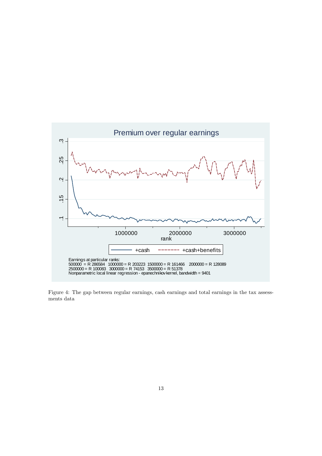

Figure 4: The gap between regular earnings, cash earnings and total earnings in the tax assessments data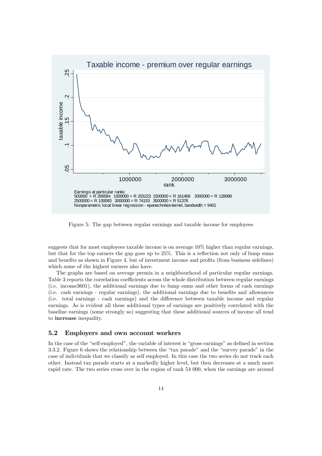

Figure 5: The gap between regular earnings and taxable income for employees

suggests that for most employees taxable income is on average 10% higher than regular earnings, but that for the top earners the gap goes up to  $25\%$ . This is a reflection not only of lump sums and benefits as shown in Figure 4, but of investment income and profits (from business sidelines) which some of the highest earners also have.

The graphs are based on average premia in a neighbourhood of particular regular earnings. Table 3 reports the correlation coefficients across the whole distribution between regular earnings (i.e. income3601), the additional earnings due to lump sums and other forms of cash earnings (i.e. cash earnings - regular earnings), the additional earnings due to benefits and allowances (i.e. total earnings - cash earnings) and the difference between taxable income and regular earnings. As is evident all these additional types of earnings are positively correlated with the baseline earnings (some strongly so) suggesting that these additional sources of income all tend to increase inequality.

#### 5.2 Employers and own account workers

In the case of the "self-employed", the variable of interest is "gross earnings" as defined in section 3.3.2. Figure 6 shows the relationship between the "tax parade" and the "survey parade" in the case of individuals that we classify as self employed. In this case the two series do not track each other. Instead tax parade starts at a markedly higher level, but then decreases at a much more rapid rate. The two series cross over in the region of rank 54 000, when the earnings are around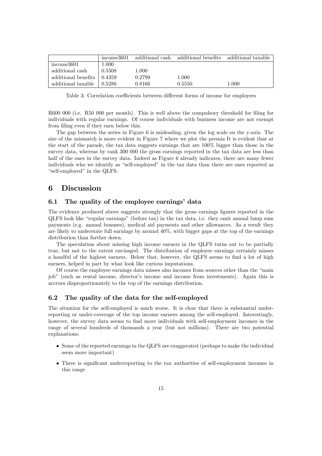|                     | income3601   | additional cash | additional benefits additional taxable |       |
|---------------------|--------------|-----------------|----------------------------------------|-------|
| income3601          | 1.000        |                 |                                        |       |
| additional cash     | 0.5508       | 1.000           |                                        |       |
| additional benefits | $\pm 0.4359$ | 0.2799          | 1.000                                  |       |
| additional taxable  | 0.5286       | 0.8166          | 0.5550                                 | 1.000 |

Table 3: Correlation coefficients between different forms of income for employees

R600 000 (i.e. R50 000 per month). This is well above the compulsory threshold for filing for individuals with regular earnings. Of course individuals with business income are not exempt from filing even if they earn below this.

The gap between the series in Figure 6 is misleading, given the log scale on the y-axis. The size of the mismatch is more evident in Figure 7 where we plot the premia It is evident that at the start of the parade, the tax data suggests earnings that are 100% bigger than those in the survey data, whereas by rank 300 000 the gross earnings reported in the tax data are less than half of the ones in the survey data. Indeed as Figure 6 already indicates, there are many fewer individuals who we identify as "self-employed" in the tax data than there are ones reported as "self-employed" in the QLFS.

### 6 Discussion

#### 6.1 The quality of the employee earnings' data

The evidence produced above suggests strongly that the gross earnings figures reported in the  $QLFS$  look like "regular earnings" (before tax) in the tax data, i.e. they omit annual lump sum payments (e.g. annual bonuses), medical aid payments and other allowances. As a result they are likely to understate full earnings by around 40%, with bigger gaps at the top of the earnings distribution than further down.

The speculation about missing high income earners in the QLFS turns out to be partially true, but not to the extent envisaged. The distribution of employee earnings certainly misses a handful of the highest earners. Below that, however, the QLFS seems to find a lot of high earners, helped in part by what look like curious imputations.

Of course the employee earnings data misses also incomes from sources other than the "main job" (such as rental income, director's income and income from investments). Again this is accrues disproportionately to the top of the earnings distribution.

#### 6.2 The quality of the data for the self-employed

The situation for the self-employed is much worse. It is clear that there is substantial underreporting or under-coverage of the top income earners among the self-employed. Interestingly, however, the survey data seems to find more individuals with self-employment incomes in the range of several hundreds of thousands a year (but not millions). There are two potential explanations:

- Some of the reported earnings in the QLFS are exaggerated (perhaps to make the individual seem more important)
- There is significant underreporting to the tax authorities of self-employment incomes in this range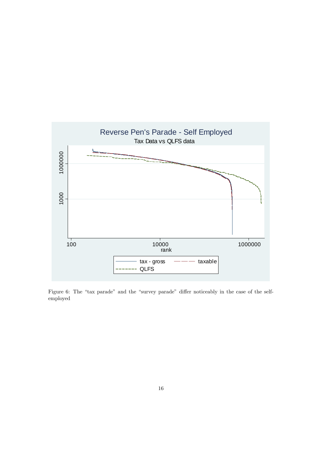

Figure 6: The "tax parade" and the "survey parade" differ noticeably in the case of the selfemployed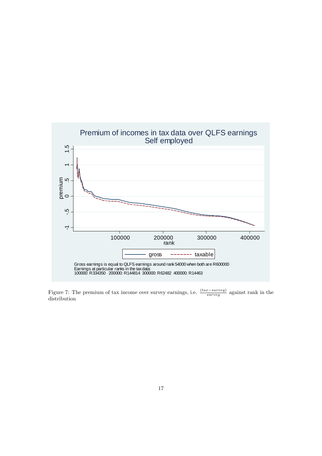

Figure 7: The premium of tax income over survey earnings, i.e.  $\frac{(tax-survey)}{survey}$  against rank in the distribution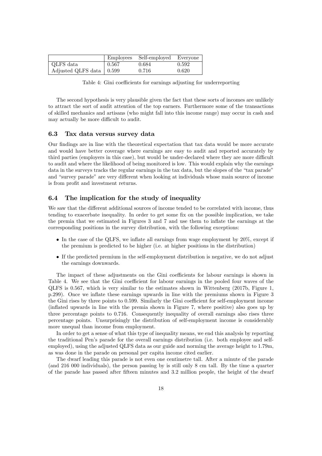|                            | Employees | Self-employed Everyone |       |
|----------------------------|-----------|------------------------|-------|
| QLFS data                  | 0.567     | 0.684                  | 0.592 |
| Adjusted QLFS data   0.599 |           | 0.716                  | 0.620 |

Table 4: Gini coefficients for earnings adjusting for underreporting

The second hypothesis is very plausible given the fact that these sorts of incomes are unlikely to attract the sort of audit attention of the top earners. Furthermore some of the transactions of skilled mechanics and artisans (who might fall into this income range) may occur in cash and may actually be more difficult to audit.

#### 6.3 Tax data versus survey data

Our findings are in line with the theoretical expectation that tax data would be more accurate and would have better coverage where earnings are easy to audit and reported accurately by third parties (employers in this case), but would be under-declared where they are more difficult to audit and where the likelihood of being monitored is low. This would explain why the earnings data in the surveys tracks the regular earnings in the tax data, but the slopes of the "tax parade" and "survey parade" are very different when looking at individuals whose main source of income is from profit and investment returns.

#### 6.4 The implication for the study of inequality

We saw that the different additional sources of income tended to be correlated with income, thus tending to exacerbate inequality. In order to get some fix on the possible implication, we take the premia that we estimated in Figures 3 and 7 and use them to ináate the earnings at the corresponding positions in the survey distribution, with the following exceptions:

- $\bullet$  In the case of the QLFS, we inflate all earnings from wage employment by 20%, except if the premium is predicted to be higher (i.e. at higher positions in the distribution)
- If the predicted premium in the self-employment distribution is negative, we do not adjust the earnings downwards.

The impact of these adjustments on the Gini coefficients for labour earnings is shown in Table 4. We see that the Gini coefficient for labour earnings in the pooled four waves of the QLFS is 0.567, which is very similar to the estimates shown in Wittenberg (2017b, Figure 1, p.299). Once we ináate these earnings upwards in line with the premiums shown in Figure 3 the Gini rises by three points to  $0.599$ . Similarly the Gini coefficient for self-employment income (ináated upwards in line with the premia shown in Figure 7, where positive) also goes up by three percentage points to 0.716. Consequently inequality of overall earnings also rises three percentage points. Unsurprisingly the distribution of self-employment income is considerably more unequal than income from employment.

In order to get a sense of what this type of inequality means, we end this analysis by reporting the traditional Penís parade for the overall earnings distribution (i.e. both employee and selfemployed), using the adjusted QLFS data as our guide and norming the average height to 1.79m, as was done in the parade on personal per capita income cited earlier.

The dwarf leading this parade is not even one centimetre tall. After a minute of the parade (and 216 000 individuals), the person passing by is still only 8 cm tall. By the time a quarter of the parade has passed after Öfteen minutes and 3.2 million people, the height of the dwarf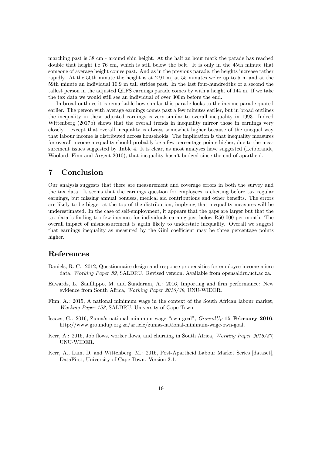marching past is 38 cm - around shin height. At the half an hour mark the parade has reached double that height i.e 76 cm, which is still below the belt. It is only in the 45th minute that someone of average height comes past. And as in the previous parade, the heights increase rather rapidly. At the 50th minute the height is at  $2.91 \text{ m}$ , at  $55 \text{ minutes we're up to } 5 \text{ m}$  and at the 59th minute an individual 10.9 m tall strides past. In the last four-hundredths of a second the tallest person in the adjusted QLFS earnings parade comes by with a height of 144 m. If we take the tax data we would still see an individual of over 300m before the end.

In broad outlines it is remarkable how similar this parade looks to the income parade quoted earlier. The person with average earnings comes past a few minutes earlier, but in broad outlines the inequality in these adjusted earnings is very similar to overall inequality in 1993. Indeed Wittenberg (2017b) shows that the overall trends in inequality mirror those in earnings very  $\csc$  closely – except that overall inequality is always somewhat higher because of the unequal way that labour income is distributed across households. The implication is that inequality measures for overall income inequality should probably be a few percentage points higher, due to the measurement issues suggested by Table 4. It is clear, as most analyses have suggested (Leibbrandt, Woolard, Finn and Argent 2010), that inequality hasn't budged since the end of apartheid.

## 7 Conclusion

Our analysis suggests that there are measurement and coverage errors in both the survey and the tax data. It seems that the earnings question for employees is eliciting before tax regular earnings, but missing annual bonuses, medical aid contributions and other benefits. The errors are likely to be bigger at the top of the distribution, implying that inequality measures will be underestimated. In the case of self-employment, it appears that the gaps are larger but that the tax data is finding too few incomes for individuals earning just below R50 000 per month. The overall impact of mismeasurement is again likely to understate inequality. Overall we suggest that earnings inequality as measured by the Gini coefficient may be three percentage points higher.

### References

- Daniels, R. C.: 2012, Questionnaire design and response propensities for employee income micro data, Working Paper 89, SALDRU. Revised version. Available from opensaldru.uct.ac.za.
- Edwards, L., Sanfilippo, M. and Sundaram, A.: 2016, Importing and firm performance: New evidence from South Africa, Working Paper 2016/39, UNU-WIDER.
- Finn, A.: 2015, A national minimum wage in the context of the South African labour market, Working Paper 153, SALDRU, University of Cape Town.
- Isaacs, G.: 2016, Zuma's national minimum wage "own goal",  $GroundUp$  15 February 2016. http://www.groundup.org.za/article/zumas-national-minimum-wage-own-goal.
- Kerr, A.: 2016, Job flows, worker flows, and churning in South Africa, *Working Paper 2016/37*, UNU-WIDER.
- Kerr, A., Lam, D. and Wittenberg, M.: 2016, Post-Apartheid Labour Market Series [dataset], DataFirst, University of Cape Town. Version 3.1.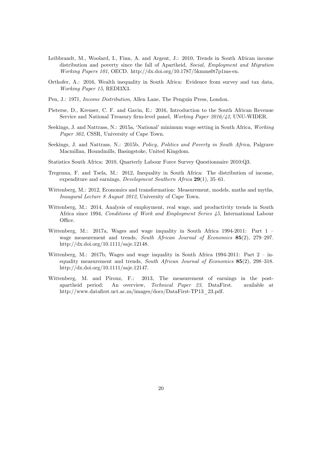- Leibbrandt, M., Woolard, I., Finn, A. and Argent, J.: 2010, Trends in South African income distribution and poverty since the fall of Apartheid, Social, Employment and Migration Working Papers 101, OECD. http://dx.doi.org/10.1787/5kmms0t7p1ms-en.
- Orthofer, A.: 2016, Wealth inequality in South Africa: Evidence from survey and tax data, Working Paper 15, REDI3X3.
- Pen, J.: 1971, Income Distribution, Allen Lane, The Penguin Press, London.
- Pieterse, D., Kreuser, C. F. and Gavin, E.: 2016, Introduction to the South African Revenue Service and National Treasury firm-level panel, Working Paper 2016/42, UNU-WIDER.
- Seekings, J. and Nattrass, N.: 2015a, 'National' minimum wage setting in South Africa, Working Paper 362, CSSR, University of Cape Town.
- Seekings, J. and Nattrass, N.: 2015b, Policy, Politics and Poverty in South Africa, Palgrave Macmillan, Houndmills, Basingstoke, United Kingdom.
- Statistics South Africa: 2010, Quarterly Labour Force Survey Questionnaire 2010:Q3.
- Tregenna, F. and Tsela, M.: 2012, Inequality in South Africa: The distribution of income, expenditure and earnings, *Development Southern Africa*  $29(1)$ ,  $35-61$ .
- Wittenberg, M.: 2012, Economics and transformation: Measurement, models, maths and myths, Inaugural Lecture 8 August 2012, University of Cape Town.
- Wittenberg, M.: 2014, Analysis of employment, real wage, and productivity trends in South Africa since 1994, Conditions of Work and Employment Series 45, International Labour Office.
- Wittenberg, M.: 2017a, Wages and wage inquality in South Africa 1994-2011: Part  $1$ wage measurement and trends, South African Journal of Economics  $85(2)$ , 279–297. http://dx.doi.org/10.1111/saje.12148.
- Wittenberg, M.: 2017b, Wages and wage inquality in South Africa 1994-2011: Part  $2 in$ equality measurement and trends, South African Journal of Economics  $85(2)$ , 298–318. http://dx.doi.org/10.1111/saje.12147.
- Wittenberg, M. and Pirouz, F.: 2013, The measurement of earnings in the postapartheid period: An overview, Technical Paper 23, DataFirst. available at http://www.datafirst.uct.ac.za/images/docs/DataFirst-TP13 23.pdf.